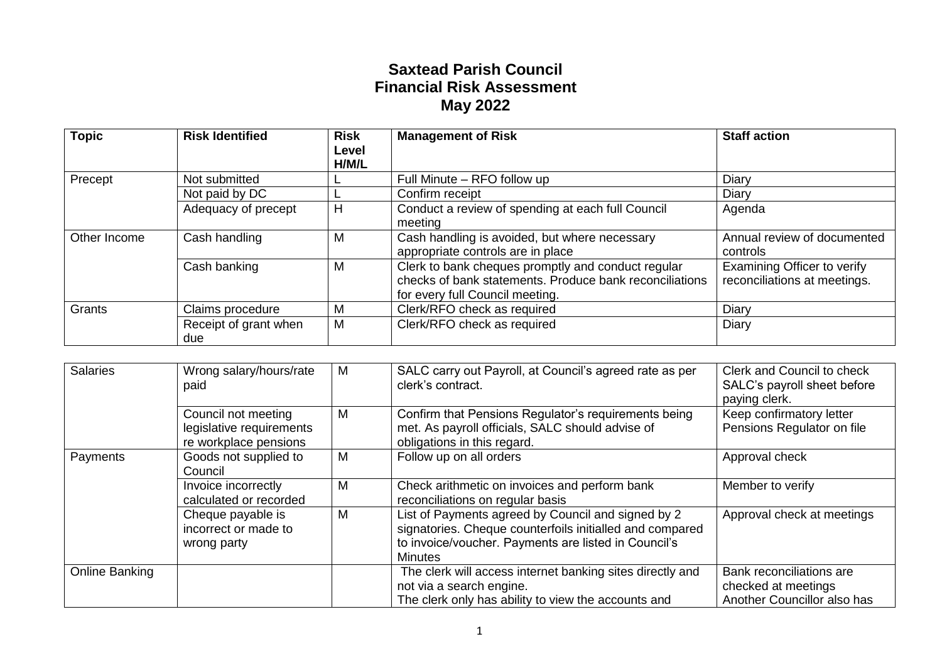## **Saxtead Parish Council Financial Risk Assessment May 2022**

| <b>Topic</b> | <b>Risk Identified</b>       | <b>Risk</b><br>Level<br>H/M/L | <b>Management of Risk</b>                                                                                                                        | <b>Staff action</b>                                         |
|--------------|------------------------------|-------------------------------|--------------------------------------------------------------------------------------------------------------------------------------------------|-------------------------------------------------------------|
| Precept      | Not submitted                |                               | Full Minute – RFO follow up                                                                                                                      | Diary                                                       |
|              | Not paid by DC               |                               | Confirm receipt                                                                                                                                  | Diary                                                       |
|              | Adequacy of precept          | H                             | Conduct a review of spending at each full Council<br>meeting                                                                                     | Agenda                                                      |
| Other Income | Cash handling                | M                             | Cash handling is avoided, but where necessary<br>appropriate controls are in place                                                               | Annual review of documented<br>controls                     |
|              | Cash banking                 | M                             | Clerk to bank cheques promptly and conduct regular<br>checks of bank statements. Produce bank reconciliations<br>for every full Council meeting. | Examining Officer to verify<br>reconciliations at meetings. |
| Grants       | Claims procedure             | M                             | Clerk/RFO check as required                                                                                                                      | Diary                                                       |
|              | Receipt of grant when<br>due | M                             | Clerk/RFO check as required                                                                                                                      | Diary                                                       |

| <b>Salaries</b> | Wrong salary/hours/rate<br>paid                                          | м | SALC carry out Payroll, at Council's agreed rate as per<br>clerk's contract.                                                                                                             | Clerk and Council to check<br>SALC's payroll sheet before<br>paying clerk.     |
|-----------------|--------------------------------------------------------------------------|---|------------------------------------------------------------------------------------------------------------------------------------------------------------------------------------------|--------------------------------------------------------------------------------|
|                 | Council not meeting<br>legislative requirements<br>re workplace pensions | M | Confirm that Pensions Regulator's requirements being<br>met. As payroll officials, SALC should advise of<br>obligations in this regard.                                                  | Keep confirmatory letter<br>Pensions Regulator on file                         |
| Payments        | Goods not supplied to<br>Council                                         | M | Follow up on all orders                                                                                                                                                                  | Approval check                                                                 |
|                 | Invoice incorrectly<br>calculated or recorded                            | M | Check arithmetic on invoices and perform bank<br>reconciliations on regular basis                                                                                                        | Member to verify                                                               |
|                 | Cheque payable is<br>incorrect or made to<br>wrong party                 | M | List of Payments agreed by Council and signed by 2<br>signatories. Cheque counterfoils initialled and compared<br>to invoice/voucher. Payments are listed in Council's<br><b>Minutes</b> | Approval check at meetings                                                     |
| Online Banking  |                                                                          |   | The clerk will access internet banking sites directly and<br>not via a search engine.<br>The clerk only has ability to view the accounts and                                             | Bank reconciliations are<br>checked at meetings<br>Another Councillor also has |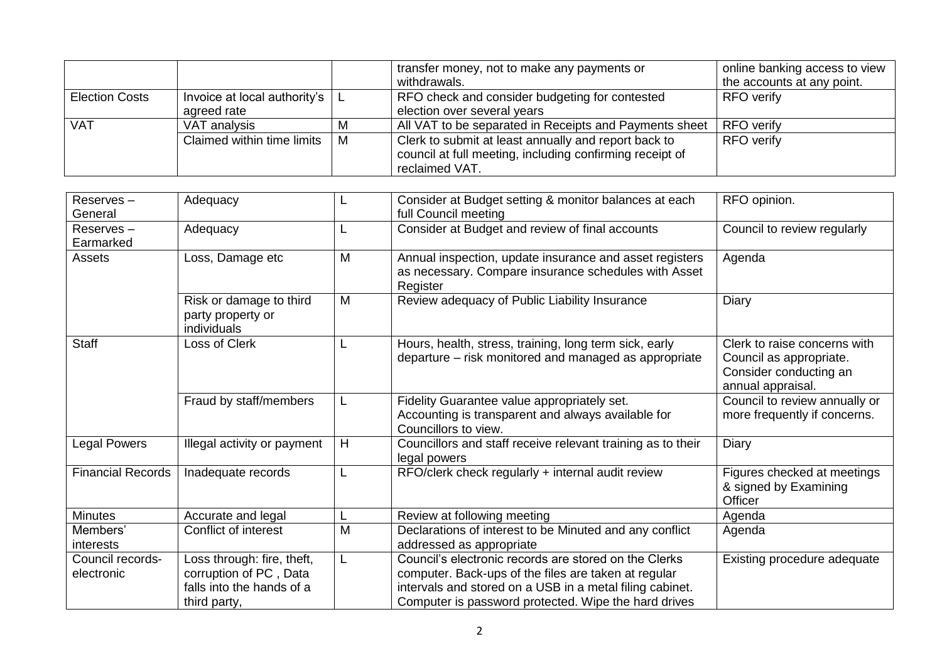|                       |                                      |   | transfer money, not to make any payments or                                                                                        | online banking access to view |
|-----------------------|--------------------------------------|---|------------------------------------------------------------------------------------------------------------------------------------|-------------------------------|
|                       |                                      |   | withdrawals.                                                                                                                       | the accounts at any point.    |
| <b>Election Costs</b> | Invoice at local authority's $\vert$ |   | RFO check and consider budgeting for contested                                                                                     | <b>RFO</b> verify             |
|                       | agreed rate                          |   | election over several years                                                                                                        |                               |
| <b>VAT</b>            | VAT analysis                         | М | All VAT to be separated in Receipts and Payments sheet                                                                             | <b>RFO</b> verify             |
|                       | Claimed within time limits           | M | Clerk to submit at least annually and report back to<br>council at full meeting, including confirming receipt of<br>reclaimed VAT. | <b>RFO</b> verify             |

| $Reserves -$<br>General        | Adequacy                                                                                          |   | Consider at Budget setting & monitor balances at each<br>full Council meeting                                                                                                                                                     | RFO opinion.                                                                                           |
|--------------------------------|---------------------------------------------------------------------------------------------------|---|-----------------------------------------------------------------------------------------------------------------------------------------------------------------------------------------------------------------------------------|--------------------------------------------------------------------------------------------------------|
| Reserves-<br>Earmarked         | Adequacy                                                                                          | L | Consider at Budget and review of final accounts                                                                                                                                                                                   | Council to review regularly                                                                            |
| Assets                         | Loss, Damage etc                                                                                  | M | Annual inspection, update insurance and asset registers<br>as necessary. Compare insurance schedules with Asset<br>Register                                                                                                       | Agenda                                                                                                 |
|                                | Risk or damage to third<br>party property or<br>individuals                                       | M | Review adequacy of Public Liability Insurance                                                                                                                                                                                     | Diary                                                                                                  |
| <b>Staff</b>                   | Loss of Clerk                                                                                     | L | Hours, health, stress, training, long term sick, early<br>departure – risk monitored and managed as appropriate                                                                                                                   | Clerk to raise concerns with<br>Council as appropriate.<br>Consider conducting an<br>annual appraisal. |
|                                | Fraud by staff/members                                                                            | L | Fidelity Guarantee value appropriately set.<br>Accounting is transparent and always available for<br>Councillors to view.                                                                                                         | Council to review annually or<br>more frequently if concerns.                                          |
| Legal Powers                   | Illegal activity or payment                                                                       | H | Councillors and staff receive relevant training as to their<br>legal powers                                                                                                                                                       | Diary                                                                                                  |
| <b>Financial Records</b>       | Inadequate records                                                                                | L | RFO/clerk check regularly + internal audit review                                                                                                                                                                                 | Figures checked at meetings<br>& signed by Examining<br>Officer                                        |
| <b>Minutes</b>                 | Accurate and legal                                                                                | L | Review at following meeting                                                                                                                                                                                                       | Agenda                                                                                                 |
| Members'<br>interests          | Conflict of interest                                                                              | M | Declarations of interest to be Minuted and any conflict<br>addressed as appropriate                                                                                                                                               | Agenda                                                                                                 |
| Council records-<br>electronic | Loss through: fire, theft,<br>corruption of PC, Data<br>falls into the hands of a<br>third party, | L | Council's electronic records are stored on the Clerks<br>computer. Back-ups of the files are taken at regular<br>intervals and stored on a USB in a metal filing cabinet.<br>Computer is password protected. Wipe the hard drives | Existing procedure adequate                                                                            |